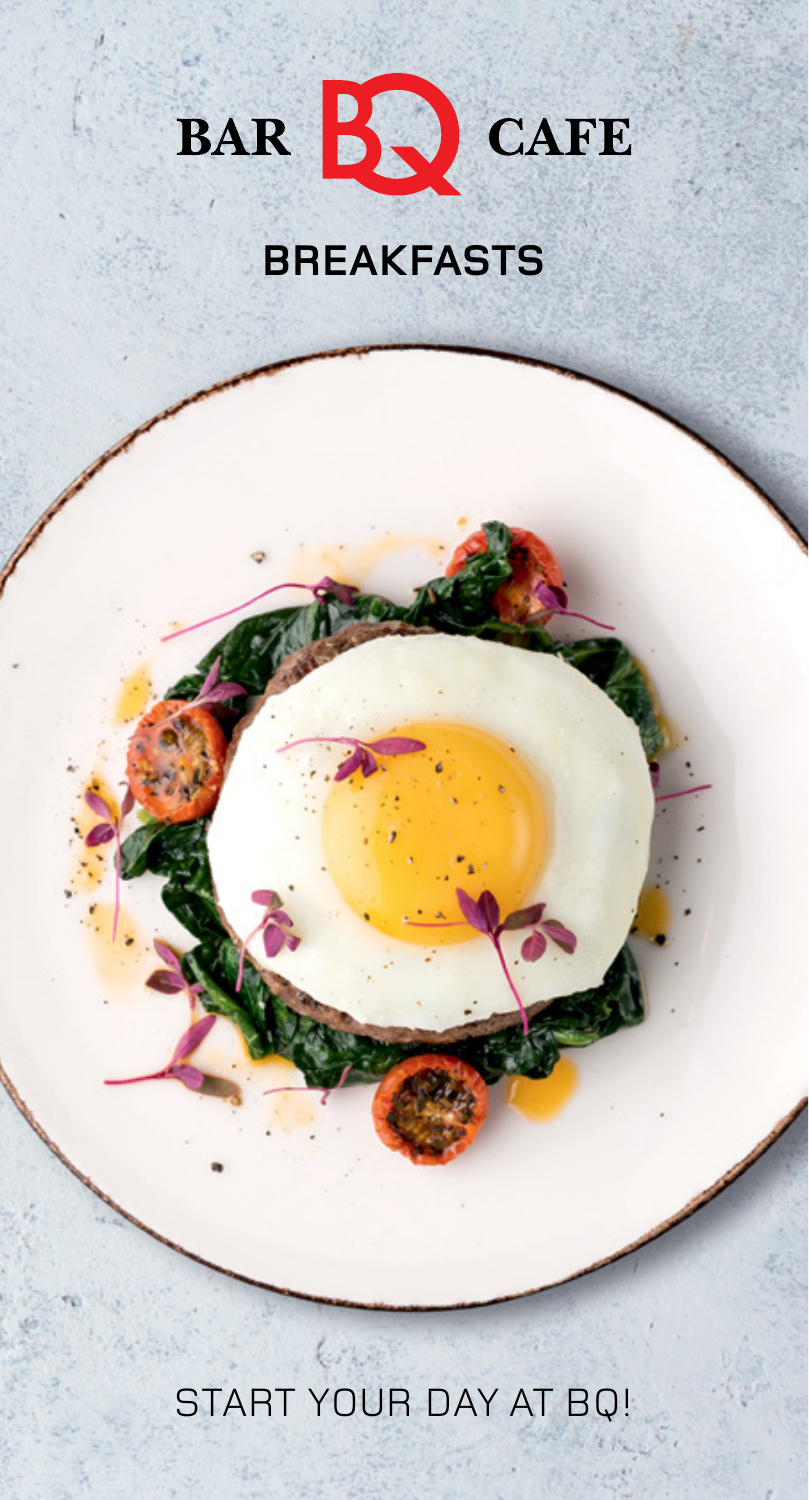

## **BREAKFASTS**

START YOUR DAY AT BQ!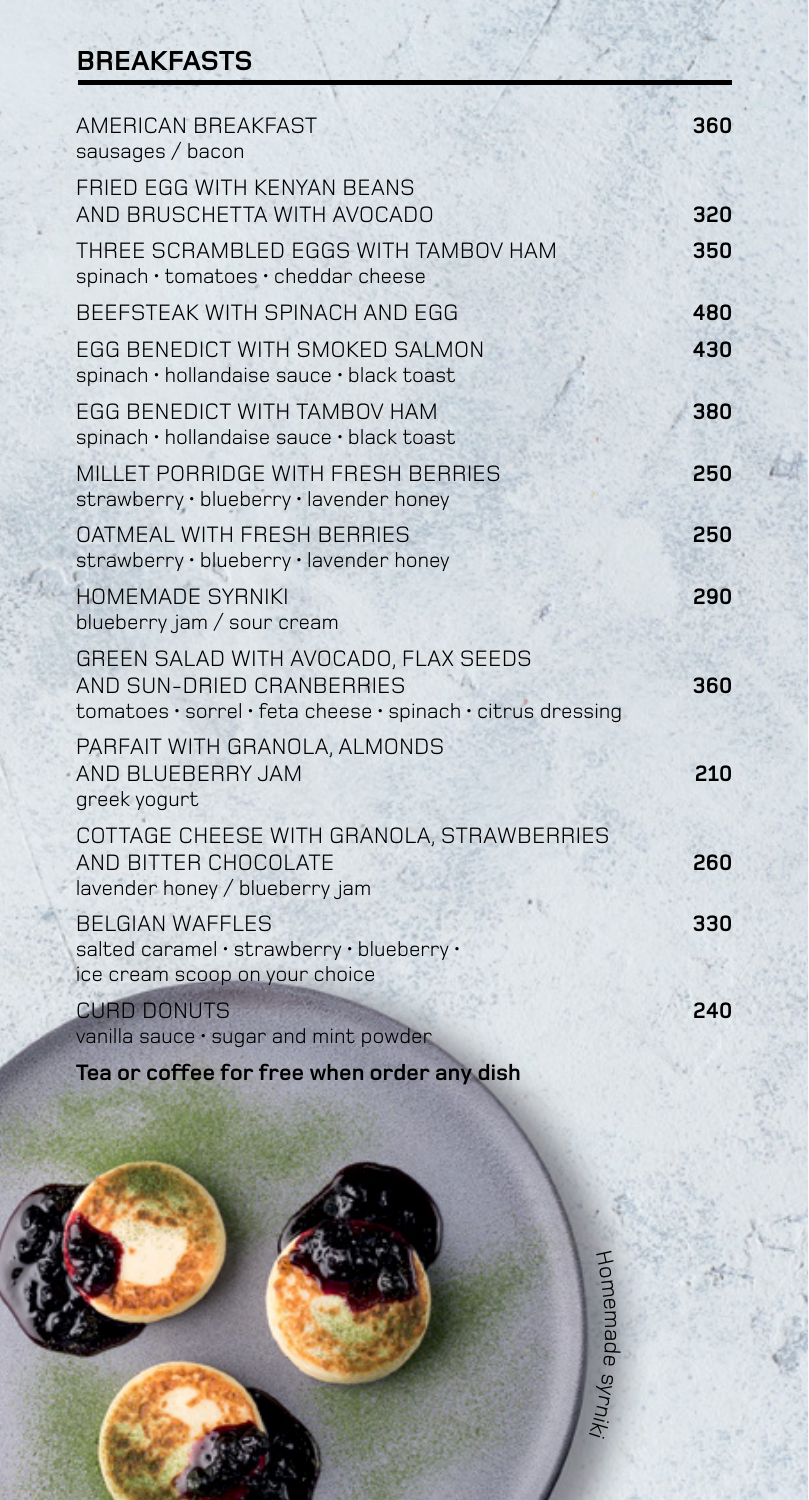## **BREAKFASTS**

| AMERICAN BREAKFAST<br>sausages / bacon                                                                                           | 360 |
|----------------------------------------------------------------------------------------------------------------------------------|-----|
| FRIED EGG WITH KENYAN BEANS<br>AND BRUSCHETTA WITH AVOCADO                                                                       | 320 |
| THREE SCRAMBLED EGGS WITH TAMBOV HAM<br>spinach · tomatoes · cheddar cheese                                                      | 350 |
| BEEFSTEAK WITH SPINACH AND EGG                                                                                                   | 480 |
| EGG BENEDICT WITH SMOKED SALMON<br>spinach · hollandaise sauce · black toast                                                     | 430 |
| EGG BENEDICT WITH TAMBOV HAM<br>spinach · hollandaise sauce · black toast                                                        | 380 |
| MILLET PORRIDGE WITH FRESH BERRIES<br>strawberry · blueberry · lavender honey                                                    | 250 |
| <b>OATMEAL WITH FRESH BERRIES</b><br>strawberry · blueberry · lavender honey                                                     | 250 |
| <b>HOMEMADE SYRNIKI</b><br>blueberry jam / sour cream                                                                            | 290 |
| GREEN SALAD WITH AVOCADO, FLAX SEEDS<br>AND SUN-DRIED CRANBERRIES<br>tomatoes · sorrel · feta cheese · spinach · citrus dressing | 360 |
| PARFAIT WITH GRANOLA, ALMONDS<br>AND BLUEBERRY JAM<br>greek yogurt                                                               | 210 |
| COTTAGE CHEESE WITH GRANOLA, STRAWBERRIES<br>AND BITTER CHOCOLATE<br>lavender honey / blueberry jam                              | 260 |
| <b>BELGIAN WAFFLES</b><br>salted caramel · strawberry · blueberry ·<br>ice cream scoop on your choice                            | 330 |
| <b>CURD DONUTS</b><br>vanilla sauce · sugar and mint powder                                                                      | 240 |

**Tea or coffee for free when order any dish**